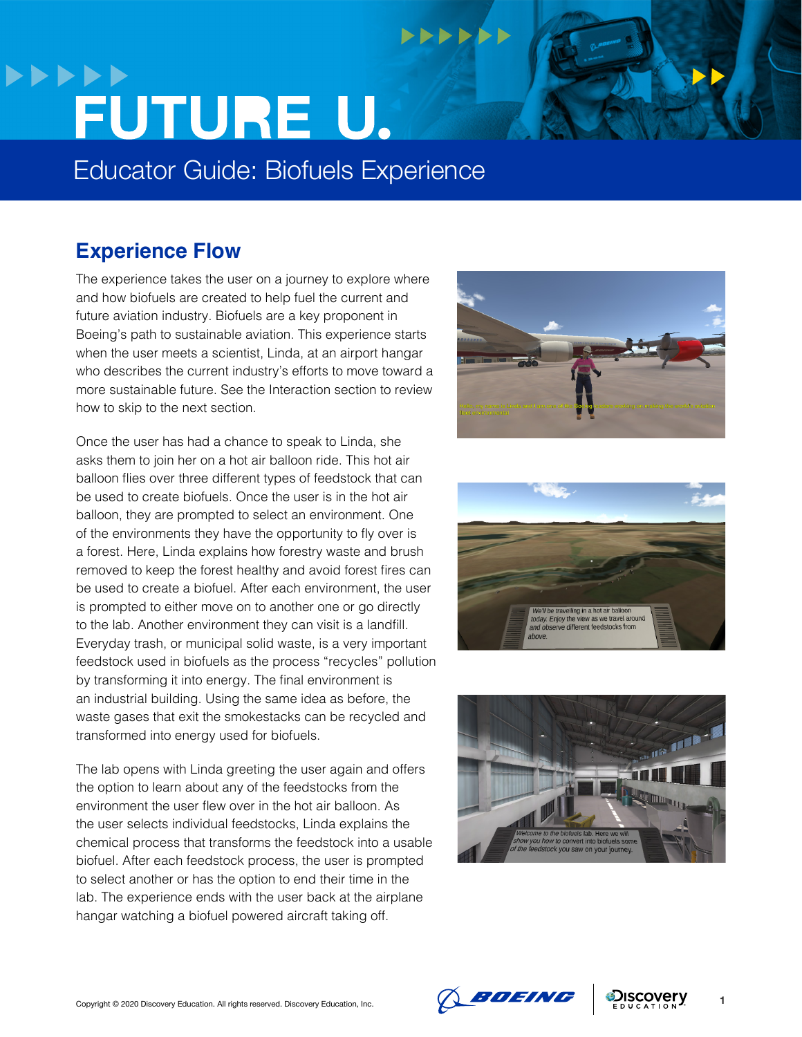# **NNNNNN >>>>>>** FUTURE U.

Educator Guide: Biofuels Experience

### **Experience Flow**

The experience takes the user on a journey to explore where and how biofuels are created to help fuel the current and future aviation industry. Biofuels are a key proponent in Boeing's path to sustainable aviation. This experience starts when the user meets a scientist, Linda, at an airport hangar who describes the current industry's efforts to move toward a more sustainable future. See the Interaction section to review how to skip to the next section.

Once the user has had a chance to speak to Linda, she asks them to join her on a hot air balloon ride. This hot air balloon flies over three different types of feedstock that can be used to create biofuels. Once the user is in the hot air balloon, they are prompted to select an environment. One of the environments they have the opportunity to fly over is a forest. Here, Linda explains how forestry waste and brush removed to keep the forest healthy and avoid forest fires can be used to create a biofuel. After each environment, the user is prompted to either move on to another one or go directly to the lab. Another environment they can visit is a landfill. Everyday trash, or municipal solid waste, is a very important feedstock used in biofuels as the process "recycles" pollution by transforming it into energy. The final environment is an industrial building. Using the same idea as before, the waste gases that exit the smokestacks can be recycled and transformed into energy used for biofuels.

The lab opens with Linda greeting the user again and offers the option to learn about any of the feedstocks from the environment the user flew over in the hot air balloon. As the user selects individual feedstocks, Linda explains the chemical process that transforms the feedstock into a usable biofuel. After each feedstock process, the user is prompted to select another or has the option to end their time in the lab. The experience ends with the user back at the airplane hangar watching a biofuel powered aircraft taking off.